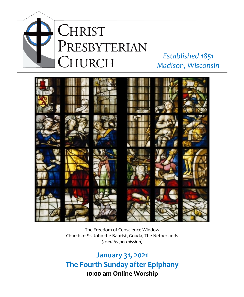

# *Established 1851 Madison, Wisconsin*



# The Freedom of Conscience Window Church of St. John the Baptist, Gouda, The Netherlands *(used by permission)*

**January 31, 2021 The Fourth Sunday after Epiphany 10:00 am Online Worship**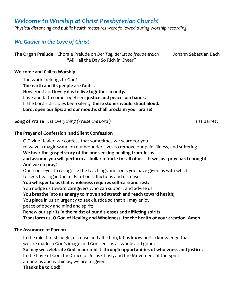# *Welcome to Worship at Christ Presbyterian Church!*

*Physical distancing and public health measures were followed during worship recording.*

# *We Gather in the Love of Christ*

**The Organ Prelude** Chorale Prelude on *Der Tag, der ist so freudenreich* Johann Sebastian Bach "All Hail the Day So Rich in Cheer"

#### **Welcome and Call to Worship**

The world belongs to God! **The earth and its people are God's.** How good and lovely it is **to live together in unity.** Love and faith come together, **justice and peace join hands.** If the Lord's disciples keep silent, **these stones would shout aloud. Lord, open our lips; and our mouths shall proclaim your praise!** 

**Song of Praise** Let Everything (Praise the Lord ) **Pat Barrett Pat Barrett** 

#### **The Prayer of Confession and Silent Confession**

O Divine Healer, we confess that sometimes we yearn for you to wave a magic wand on our wounded lives to remove our pain, illness, and suffering. **We hear the gospel story of the one seeking healing from Jesus and assume you will perform a similar miracle for all of us – if we just pray hard enough! And we do pray!** Open our eyes to recognize the teachings and tools you have given us with which to seek healing in the midst of our afflictions and dis-eases: **You whisper to us that wholeness requires self-care and rest;**  You nudge us toward caregivers who can support and advise us; **You breathe into us energy to move and stretch and reach toward health;**  You place in us an urgency to seek justice so that all may enjoy peace of body and mind and spirit; **Renew our spirits in the midst of our dis-eases and afflicting spirits. Transform us, O God of Healing and Wholeness, for the health of your creation. Amen. The Assurance of Pardon** 

In the midst of struggle, dis-ease and affliction, let us know and acknowledge that we are made in God's image and God sees us as whole and good. **So may we celebrate God in our midst through opportunities of wholeness and justice.** In the Love of God, the Grace of Jesus Christ, and the Movement of the Spirit among us and within us, we are forgiven! **Thanks be to God!**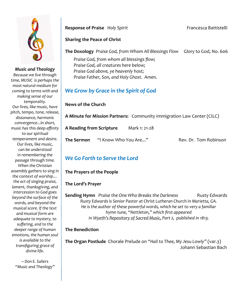

*Music and Theology Because we live through time, MUSIC is perhaps the most natural medium for coming to terms with and making sense of our temporality. Our lives, like music, have pitch, tempo, tone, release, dissonance, harmonic convergence...In short, music has this deep affinity to our spiritual temperament and desire. Our lives, like music, can be understood in remembering the passage through time. When the Christian assembly gathers to sing in the context of worship… the act of singing praise, lament, thanksgiving, and intercession to God goes beyond the surface of the words, and beyond the musical score. If the text and musical form are adequate to mystery, to suffering, and to the deeper range of human emotions, the human soul is available to the transfiguring grace of divine life.*

*~ Don E. Saliers "Music and Theology"*

# **Response of Praise** *Holy Spirit* **Francesca Battistelli**

## **Sharing the Peace of Christ**

**The Doxology** *Praise God, from Whom All Blessings Flow* Glory to God, No. 606

*Praise God, from whom all blessings flow; Praise God, all creatures here below; Praise God above, ye heavenly host; Praise Father, Son, and Holy Ghost. Amen.*

# *We Grow by Grace in the Spirit of God*

#### **News of the Church**

**A Minute for Mission Partners:** Community Immigration Law Center (CILC)

| A Reading from Scripture |                      | Mark 1: 21-28 |                       |
|--------------------------|----------------------|---------------|-----------------------|
| The Sermon               | "I Know Who You Are" |               | Rev. Dr. Tom Robinson |

# *We Go Forth to Serve the Lord*

#### **The Prayers of the People**

#### **The Lord's Prayer**

**Sending Hymn** Praise the One Who Breaks the Darkness **Rusty Edwards** *Rusty Edwards is Senior Pastor at Christ Lutheran Church in Marietta, GA. He is the author of these powerful words, which he set to very a familiar hymn tune, "Nettleton," which first appeared in Wyeth's Repository of Sacred Music, Part 2, published in 1813.*

## **The Benediction**

**The Organ Postlude** Chorale Prelude on *"Hail to Thee, My Jesu Lowly"* (var.3) Johann Sebastian Bach